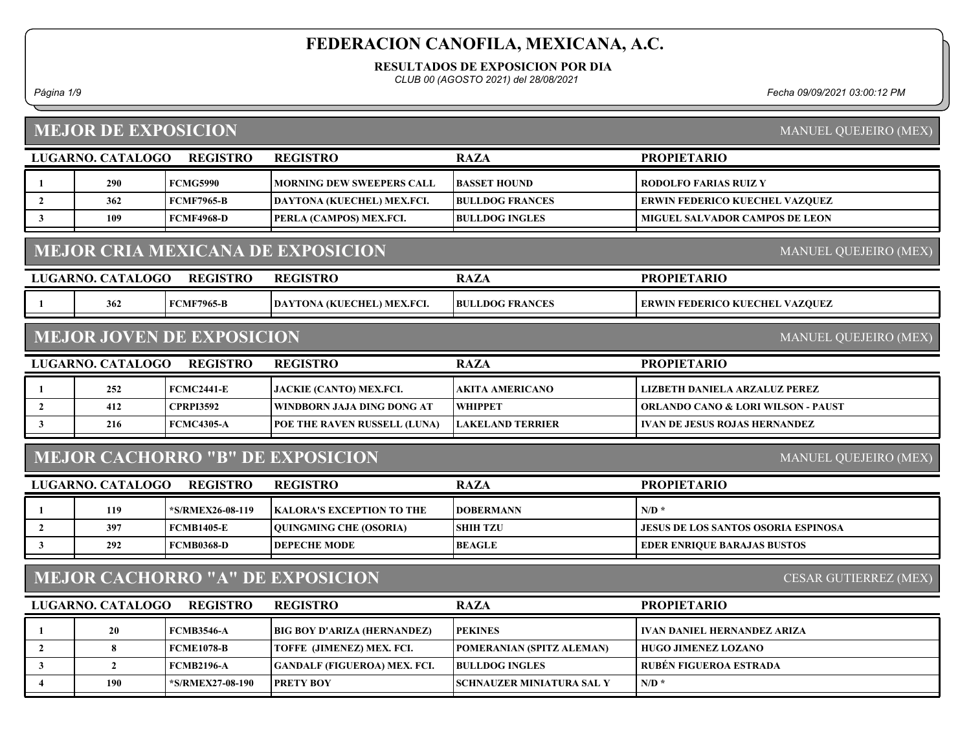RESULTADOS DE EXPOSICION POR DIA

CLUB 00 (AGOSTO 2021) del 28/08/2021

#### MEJOR DE EXPOSICION

Página 1/9 Fecha 09/09/2021 03:00:12 PM

|                                                                  | <b>MEJOR DE EXPOSICION</b><br><b>MANUEL QUEJEIRO (MEX)</b> |                                  |                                          |                                  |                                               |  |
|------------------------------------------------------------------|------------------------------------------------------------|----------------------------------|------------------------------------------|----------------------------------|-----------------------------------------------|--|
|                                                                  | LUGARNO. CATALOGO                                          | <b>REGISTRO</b>                  | <b>REGISTRO</b>                          | <b>RAZA</b>                      | <b>PROPIETARIO</b>                            |  |
| -1                                                               | 290                                                        | <b>FCMG5990</b>                  | <b>MORNING DEW SWEEPERS CALL</b>         | <b>BASSET HOUND</b>              | <b>RODOLFO FARIAS RUIZ Y</b>                  |  |
| $\overline{2}$                                                   | 362                                                        | <b>FCMF7965-B</b>                | DAYTONA (KUECHEL) MEX.FCI.               | <b>BULLDOG FRANCES</b>           | ERWIN FEDERICO KUECHEL VAZQUEZ                |  |
| $\mathbf{3}$                                                     | 109                                                        | <b>FCMF4968-D</b>                | PERLA (CAMPOS) MEX.FCI.                  | <b>BULLDOG INGLES</b>            | <b>MIGUEL SALVADOR CAMPOS DE LEON</b>         |  |
|                                                                  |                                                            |                                  | <b>MEJOR CRIA MEXICANA DE EXPOSICION</b> |                                  | MANUEL QUEJEIRO (MEX)                         |  |
|                                                                  | LUGARNO. CATALOGO                                          | <b>REGISTRO</b>                  | <b>REGISTRO</b>                          | <b>RAZA</b>                      | <b>PROPIETARIO</b>                            |  |
|                                                                  | 362                                                        | <b>FCMF7965-B</b>                | DAYTONA (KUECHEL) MEX.FCI.               | <b>BULLDOG FRANCES</b>           | ERWIN FEDERICO KUECHEL VAZQUEZ                |  |
|                                                                  |                                                            | <b>MEJOR JOVEN DE EXPOSICION</b> |                                          |                                  | MANUEL QUEJEIRO (MEX)                         |  |
|                                                                  | LUGARNO. CATALOGO                                          | <b>REGISTRO</b>                  | <b>REGISTRO</b>                          | <b>RAZA</b>                      | <b>PROPIETARIO</b>                            |  |
| -1                                                               | 252                                                        | <b>FCMC2441-E</b>                | <b>JACKIE (CANTO) MEX.FCI.</b>           | AKITA AMERICANO                  | LIZBETH DANIELA ARZALUZ PEREZ                 |  |
| $\overline{2}$                                                   | 412                                                        | <b>CPRPI3592</b>                 | WINDBORN JAJA DING DONG AT               | <b>WHIPPET</b>                   | <b>ORLANDO CANO &amp; LORI WILSON - PAUST</b> |  |
| $\mathbf{3}$                                                     | 216                                                        | <b>FCMC4305-A</b>                | POE THE RAVEN RUSSELL (LUNA)             | <b>LAKELAND TERRIER</b>          | <b>IVAN DE JESUS ROJAS HERNANDEZ</b>          |  |
|                                                                  |                                                            |                                  | <b>MEJOR CACHORRO "B" DE EXPOSICION</b>  |                                  | MANUEL QUEJEIRO (MEX)                         |  |
|                                                                  | LUGARNO. CATALOGO                                          | <b>REGISTRO</b>                  | <b>REGISTRO</b>                          | <b>RAZA</b>                      | <b>PROPIETARIO</b>                            |  |
| -1                                                               | 119                                                        | *S/RMEX26-08-119                 | <b>KALORA'S EXCEPTION TO THE</b>         | <b>DOBERMANN</b>                 | $N/D$ *                                       |  |
| $\overline{2}$                                                   | 397                                                        | <b>FCMB1405-E</b>                | <b>QUINGMING CHE (OSORIA)</b>            | <b>SHIH TZU</b>                  | <b>JESUS DE LOS SANTOS OSORIA ESPINOSA</b>    |  |
| $\mathbf{3}$                                                     | 292                                                        | <b>FCMB0368-D</b>                | <b>DEPECHE MODE</b>                      | <b>BEAGLE</b>                    | <b>EDER ENRIQUE BARAJAS BUSTOS</b>            |  |
| <b>MEJOR CACHORRO "A" DE EXPOSICION</b><br>CESAR GUTIERREZ (MEX) |                                                            |                                  |                                          |                                  |                                               |  |
|                                                                  | LUGARNO. CATALOGO                                          | <b>REGISTRO</b>                  | <b>REGISTRO</b>                          | <b>RAZA</b>                      | <b>PROPIETARIO</b>                            |  |
| -1                                                               | 20                                                         | <b>FCMB3546-A</b>                | <b>BIG BOY D'ARIZA (HERNANDEZ)</b>       | <b>PEKINES</b>                   | <b>IVAN DANIEL HERNANDEZ ARIZA</b>            |  |
| $\overline{2}$                                                   | 8                                                          | <b>FCME1078-B</b>                | TOFFE (JIMENEZ) MEX. FCI.                | POMERANIAN (SPITZ ALEMAN)        | <b>HUGO JIMENEZ LOZANO</b>                    |  |
| $\mathbf{3}$                                                     | $\overline{2}$                                             | <b>FCMB2196-A</b>                | <b>GANDALF (FIGUEROA) MEX. FCI.</b>      | <b>BULLDOG INGLES</b>            | <b>RUBÉN FIGUEROA ESTRADA</b>                 |  |
| $\overline{\mathbf{4}}$                                          | 190                                                        | *S/RMEX27-08-190                 | <b>PRETY BOY</b>                         | <b>SCHNAUZER MINIATURA SAL Y</b> | $N/D$ *                                       |  |
|                                                                  |                                                            |                                  |                                          |                                  |                                               |  |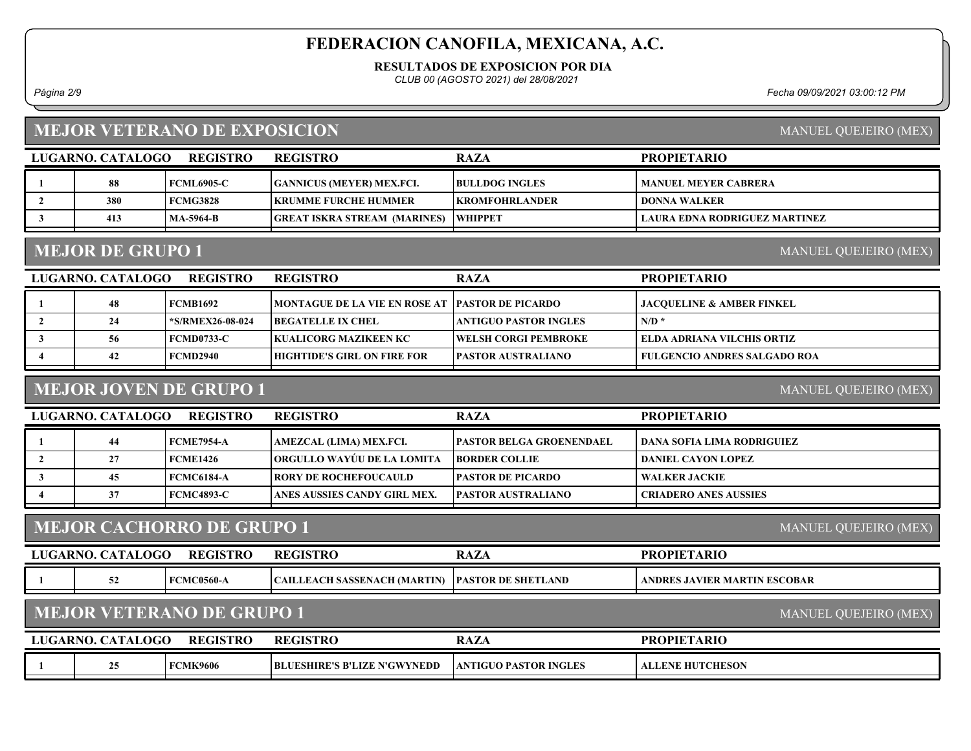RESULTADOS DE EXPOSICION POR DIA

CLUB 00 (AGOSTO 2021) del 28/08/2021

Página 2/9 Fecha 09/09/2021 03:00:12 PM

## MEJOR VETERANO DE EXPOSICION

| REGISTRO<br>LUGARNO. CATALOGO |     |                   | <b>REGISTRO</b>                     | <b>RAZA</b>            | <b>PROPIETARIO</b>            |
|-------------------------------|-----|-------------------|-------------------------------------|------------------------|-------------------------------|
|                               | 88  | <b>FCML6905-C</b> | <b>GANNICUS (MEYER) MEX.FCI.</b>    | <b>BULLDOG INGLES</b>  | <b>MANUEL MEYER CABRERA</b>   |
|                               | 380 | FCMG3828          | <b>  KRUMME FURCHE HUMMER</b>       | <b>EKROMFOHRLANDER</b> | I DONNA WALKER                |
|                               | 413 | MA-5964-B         | <b>GREAT ISKRA STREAM (MARINES)</b> | <b>WHIPPET</b>         | LAURA EDNA RODRIGUEZ MARTINEZ |
|                               |     |                   |                                     |                        |                               |

## MEJOR DE GRUPO 1

MANUEL QUEJEIRO (MEX)

| LUGARNO. CATALOGO | <b>REGISTRO</b>  | <b>REGISTRO</b>                                    | <b>RAZA</b>                  | <b>PROPIETARIO</b>                   |
|-------------------|------------------|----------------------------------------------------|------------------------------|--------------------------------------|
| 48                | FCMB1692         | MONTAGUE DE LA VIE EN ROSE AT   PASTOR DE PICARDO_ |                              | <b>JACOUELINE &amp; AMBER FINKEL</b> |
| 24                | *S/RMEX26-08-024 | <b>IBEGATELLE IX CHEL</b>                          | ANTIGUO PASTOR INGLES        | $N/D$ *                              |
| 56                | FCMD0733-C       | KUALICORG MAZIKEEN KC                              | <b>TWELSH CORGI PEMBROKE</b> | ELDA ADRIANA VILCHIS ORTIZ           |
| 42                | FCMD2940         | <b>HIGHTIDE'S GIRL ON FIRE FOR</b>                 | <b>IPASTOR AUSTRALIANO</b>   | <b>FULGENCIO ANDRES SALGADO ROA</b>  |

## MEJOR JOVEN DE GRUPO 1

MANUEL QUEJEIRO (MEX)

MANUEL QUEJEIRO (MEX)

MANUEL QUEJEIRO (MEX)

PROPIETARIO

| LUGARNO, CATALOGO | <b>REGISTRO</b>   | <b>REGISTRO</b>                    | <b>RAZA</b>                     | <b>PROPIETARIO</b>           |
|-------------------|-------------------|------------------------------------|---------------------------------|------------------------------|
| 44                | <b>FCME7954-A</b> | AMEZCAL (LIMA) MEX.FCI.            | <b>PASTOR BELGA GROENENDAEL</b> | DANA SOFIA LIMA RODRIGUIEZ   |
|                   | <b>FCME1426</b>   | <b> ORGULLO WAYUU DE LA LOMITA</b> | <b>IBORDER COLLIE</b>           | DANIEL CAYON LOPEZ           |
| 45                | <b>FCMC6184-A</b> | <b>TRORY DE ROCHEFOUCAULD</b>      | <b>IPASTOR DE PICARDO</b>       | <b>WALKER JACKIE</b>         |
|                   | <b>FCMC4893-C</b> | ANES AUSSIES CANDY GIRL MEX.       | <b>PASTOR AUSTRALIANO</b>       | <b>CRIADERO ANES AUSSIES</b> |

## MEJOR CACHORRO DE GRUPO 1

| LUGARNO. CATALOGO | <b>REGISTRO</b> | <b>REGISTRO</b> |  |
|-------------------|-----------------|-----------------|--|

|  | ACOC<br>-F6<br>.w.ww- | <b>CH (MARTIN)</b><br>™AH ∧<br>N A C<br>SASSE | FLAND<br>D A<br>FOR DE<br>90 P. | <b>^OBAR</b><br>NDRE<br><b>VIER</b><br><b>NAK</b><br>. |
|--|-----------------------|-----------------------------------------------|---------------------------------|--------------------------------------------------------|
|  |                       |                                               |                                 |                                                        |

# MEJOR VETERANO DE GRUPO 1

| LUGARNO. CATALOGO | <b>REGISTRO</b> | <b>REGISTRO</b>                     | <b>RAZA</b>                    | <b>PROPIET</b><br>TARIO |
|-------------------|-----------------|-------------------------------------|--------------------------------|-------------------------|
| つち                | <b>FCMK9606</b> | <b>BLUESHIRE'S B'LIZE N'GWYNEDD</b> | <b>  ANTIGUO PASTOR INGLES</b> | <b>ALLENE HUTCHESON</b> |

MANUEL QUEJEIRO (MEX)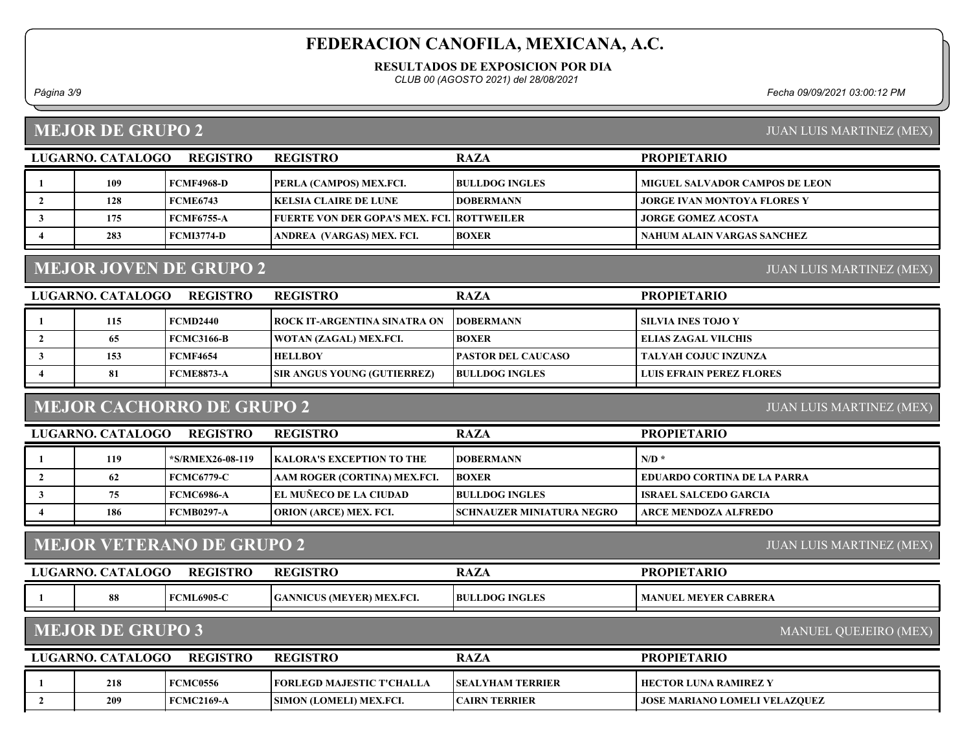#### RESULTADOS DE EXPOSICION POR DIA

CLUB 00 (AGOSTO 2021) del 28/08/2021

Página 3/9 Fecha 09/09/2021 03:00:12 PM

#### MEJOR DE GRUPO 2

| LUGARNO. CATALOGO | <b>REGISTRO</b>   | <b>REGISTRO</b>                              | <b>RAZA</b>           | <b>PROPIETARIO</b>                    |
|-------------------|-------------------|----------------------------------------------|-----------------------|---------------------------------------|
| 109               | FCMF4968-D        | <b>PERLA (CAMPOS) MEX.FCI.</b>               | <b>BULLDOG INGLES</b> | <b>MIGUEL SALVADOR CAMPOS DE LEON</b> |
| 128               | <b>FCME6743</b>   | <b> KELSIA CLAIRE DE LUNE</b>                | <b>IDOBERMANN</b>     | <b>JORGE IVAN MONTOYA FLORES Y</b>    |
| 175               | <b>FCMF6755-A</b> | FUERTE VON DER GOPA'S MEX. FCI.   ROTTWEILER |                       | <b>JORGE GOMEZ ACOSTA</b>             |
| 283               | <b>FCMI3774-D</b> | ANDREA (VARGAS) MEX. FCI.                    | <b>BOXER</b>          | NAHUM ALAIN VARGAS SANCHEZ            |

## MEJOR JOVEN DE GRUPO 2

LUGARNO. CATALOGO REGISTRO REGISTRO NAZA PROPIETARIO REGISTRO 1 | 115 | FCMD2440 | ROCK IT-ARGENTINA SINATRA ON | DOBERMANN | SILVIA INES TOJO Y 2 | 65 | FCMC3166-B | WOTAN (ZAGAL) MEX.FCI. | BOXER | ELIAS ZAGAL VILCHIS 3 | 153 | FCMF4654 | HELLBOY | PASTOR DEL CAUCASO | TALYAH COJUC INZUNZA 4 81 FCME8873-A SIR ANGUS YOUNG (GUTIERREZ) BULLDOG INGLES LUIS EFRAIN PEREZ FLORES

#### MEJOR CACHORRO DE GRUPO 2

JUAN LUIS MARTINEZ (MEX)

JUAN LUIS MARTINEZ (MEX)

| <b>REGISTRO</b><br>LUGARNO. CATALOGO |     |                        | <b>REGISTRO</b>                   | <b>RAZA</b>                | <b>PROPIETARIO</b>                 |
|--------------------------------------|-----|------------------------|-----------------------------------|----------------------------|------------------------------------|
|                                      | 119 | <b>S/RMEX26-08-119</b> | <b>IKALORA'S EXCEPTION TO THE</b> | <b>IDOBERMANN</b>          | $N/D$ *                            |
|                                      | 62  | <b>FCMC6779-C</b>      | AAM ROGER (CORTINA) MEX.FCI.      | <b>BOXER</b>               | <b>EDUARDO CORTINA DE LA PARRA</b> |
|                                      | 75  | FCMC6986-A             | <b>EL MUÑECO DE LA CIUDAD</b>     | <b>BULLDOG INGLES</b>      | ISRAEL SALCEDO GARCIA              |
|                                      | 186 | FCMB0297-A             | <b>ORION (ARCE) MEX. FCI.</b>     | SCHNAUZER MINIATURA NEGRO- | ARCE MENDOZA ALFREDO               |

#### MEJOR VETERANO DE GRUPO 2

| LUGARNO. | . CATALOGO | <b>REGISTRO</b> | <b>REGISTRO</b>                  | RAZ                   | <b>PROPIETARIO</b>               |
|----------|------------|-----------------|----------------------------------|-----------------------|----------------------------------|
|          | 0Ō         | 1 FCML6905-C    | <b>GANNICUS (MEYER) MEX.FCI.</b> | <b>BULLDOG INGLES</b> | <b>MANUEL</b><br>. MEYER CABRERA |

#### MEJOR DE GRUPO 3

MANUEL QUEJEIRO (MEX)

JUAN LUIS MARTINEZ (MEX)

| <b>REGISTRO</b><br>LUGARNO. CATALOGO |     |                 | <b>REGISTRO</b>                   | <b>RAZA</b>              | <b>PROPIETARIO</b>                     |
|--------------------------------------|-----|-----------------|-----------------------------------|--------------------------|----------------------------------------|
|                                      | 218 | <b>FCMC0556</b> | <b>TEORLEGD MAJESTIC T'CHALLA</b> | <b>ISEALYHAM TERRIER</b> | HECTOR LUNA RAMIREZ Y                  |
|                                      | 209 | FCMC2169-A      | <b>SIMON (LOMELI) MEX.FCI.</b>    | CAIRN TERRIER            | <b>  JOSE MARIANO LOMELI VELAZOUEZ</b> |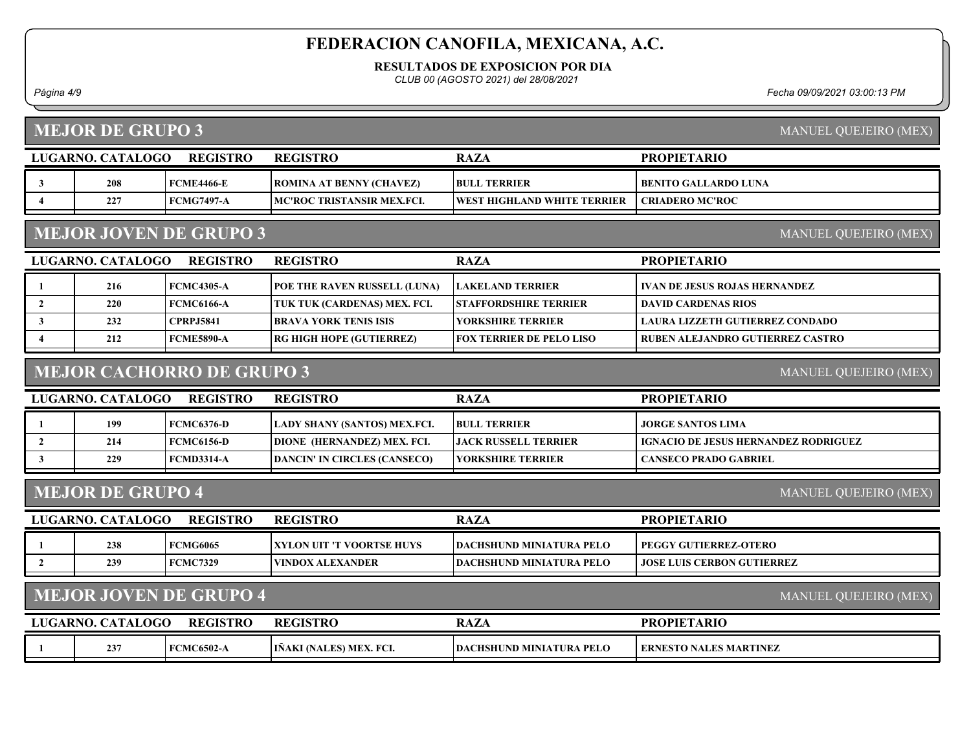RESULTADOS DE EXPOSICION POR DIA

CLUB 00 (AGOSTO 2021) del 28/08/2021

Página 4/9 Fecha 09/09/2021 03:00:13 PM

|                         | <b>MEJOR DE GRUPO 3</b><br>MANUEL QUEJEIRO (MEX)              |                   |                                     |                                 |                                             |  |  |  |
|-------------------------|---------------------------------------------------------------|-------------------|-------------------------------------|---------------------------------|---------------------------------------------|--|--|--|
|                         | LUGARNO. CATALOGO                                             | <b>REGISTRO</b>   | <b>REGISTRO</b>                     | <b>RAZA</b>                     | <b>PROPIETARIO</b>                          |  |  |  |
| 3                       | 208                                                           | <b>FCME4466-E</b> | <b>ROMINA AT BENNY (CHAVEZ)</b>     | <b>BULL TERRIER</b>             | <b>BENITO GALLARDO LUNA</b>                 |  |  |  |
| $\overline{\mathbf{4}}$ | 227                                                           | <b>FCMG7497-A</b> | MC'ROC TRISTANSIR MEX.FCI.          | WEST HIGHLAND WHITE TERRIER     | <b>CRIADERO MC'ROC</b>                      |  |  |  |
|                         | <b>MEJOR JOVEN DE GRUPO 3</b><br>MANUEL QUEJEIRO (MEX)        |                   |                                     |                                 |                                             |  |  |  |
|                         | LUGARNO. CATALOGO                                             | <b>REGISTRO</b>   | <b>REGISTRO</b>                     | <b>RAZA</b>                     | <b>PROPIETARIO</b>                          |  |  |  |
| 1                       | 216                                                           | <b>FCMC4305-A</b> | POE THE RAVEN RUSSELL (LUNA)        | <b>LAKELAND TERRIER</b>         | <b>IVAN DE JESUS ROJAS HERNANDEZ</b>        |  |  |  |
| $\overline{2}$          | 220                                                           | <b>FCMC6166-A</b> | TUK TUK (CARDENAS) MEX. FCI.        | <b>STAFFORDSHIRE TERRIER</b>    | <b>DAVID CARDENAS RIOS</b>                  |  |  |  |
| $\mathbf{3}$            | 232                                                           | <b>CPRPJ5841</b>  | <b>BRAVA YORK TENIS ISIS</b>        | YORKSHIRE TERRIER               | <b>LAURA LIZZETH GUTIERREZ CONDADO</b>      |  |  |  |
| 4                       | 212                                                           | <b>FCME5890-A</b> | RG HIGH HOPE (GUTIERREZ)            | <b>FOX TERRIER DE PELO LISO</b> | <b>RUBEN ALEJANDRO GUTIERREZ CASTRO</b>     |  |  |  |
|                         | <b>MEJOR CACHORRO DE GRUPO 3</b><br>MANUEL QUEJEIRO (MEX)     |                   |                                     |                                 |                                             |  |  |  |
|                         | LUGARNO. CATALOGO                                             | <b>REGISTRO</b>   | <b>REGISTRO</b>                     | <b>RAZA</b>                     | <b>PROPIETARIO</b>                          |  |  |  |
| 1                       | 199                                                           | <b>FCMC6376-D</b> | LADY SHANY (SANTOS) MEX.FCI.        | <b>BULL TERRIER</b>             | <b>JORGE SANTOS LIMA</b>                    |  |  |  |
| $\mathbf{2}$            | 214                                                           | <b>FCMC6156-D</b> | DIONE (HERNANDEZ) MEX. FCI.         | <b>JACK RUSSELL TERRIER</b>     | <b>IGNACIO DE JESUS HERNANDEZ RODRIGUEZ</b> |  |  |  |
| $\mathbf{3}$            | 229                                                           | <b>FCMD3314-A</b> | <b>DANCIN' IN CIRCLES (CANSECO)</b> | YORKSHIRE TERRIER               | <b>CANSECO PRADO GABRIEL</b>                |  |  |  |
|                         | <b>MEJOR DE GRUPO 4</b>                                       |                   |                                     |                                 | MANUEL QUEJEIRO (MEX)                       |  |  |  |
|                         | LUGARNO. CATALOGO                                             | <b>REGISTRO</b>   | <b>REGISTRO</b>                     | <b>RAZA</b>                     | <b>PROPIETARIO</b>                          |  |  |  |
| 1                       | 238                                                           | <b>FCMG6065</b>   | XYLON UIT 'T VOORTSE HUYS           | <b>DACHSHUND MINIATURA PELO</b> | <b>PEGGY GUTIERREZ-OTERO</b>                |  |  |  |
| $\overline{2}$          | 239                                                           | <b>FCMC7329</b>   | <b>VINDOX ALEXANDER</b>             | <b>DACHSHUND MINIATURA PELO</b> | <b>JOSE LUIS CERBON GUTIERREZ</b>           |  |  |  |
|                         | <b>MEJOR JOVEN DE GRUPO 4</b><br><b>MANUEL QUEJEIRO (MEX)</b> |                   |                                     |                                 |                                             |  |  |  |
|                         | LUGARNO. CATALOGO                                             | <b>REGISTRO</b>   | <b>REGISTRO</b>                     | <b>RAZA</b>                     | <b>PROPIETARIO</b>                          |  |  |  |
| 1                       | 237                                                           | <b>FCMC6502-A</b> | IÑAKI (NALES) MEX. FCI.             | <b>DACHSHUND MINIATURA PELO</b> | <b>ERNESTO NALES MARTINEZ</b>               |  |  |  |
|                         |                                                               |                   |                                     |                                 |                                             |  |  |  |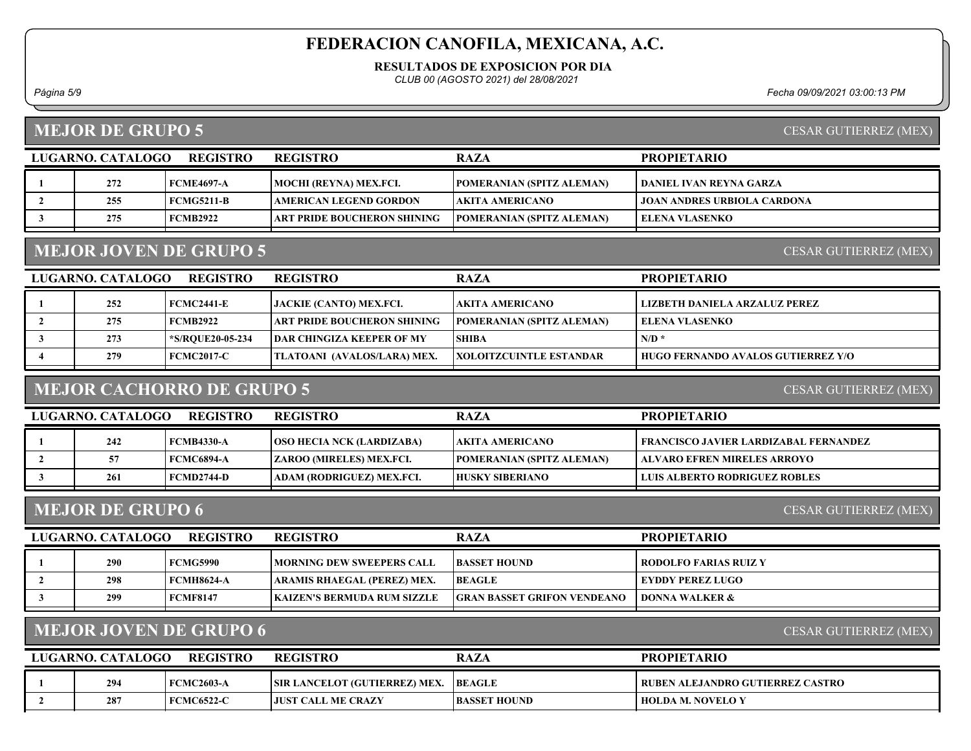RESULTADOS DE EXPOSICION POR DIA

CLUB 00 (AGOSTO 2021) del 28/08/2021

#### MEJOR DE GRUPO 5

Página 5/9 Fecha 09/09/2021 03:00:13 PM

CESAR GUTIERREZ (MEX)

CESAR GUTIERREZ (MEX)

| LUGARNO. CATALOGO | <b>REGISTRO</b>   | <b>REGISTRO</b>                    | <b>RAZA</b>                      | <b>PROPIETARIO</b>                 |
|-------------------|-------------------|------------------------------------|----------------------------------|------------------------------------|
| 272               | FCME4697-A        | MOCHI (REYNA) MEX.FCI.             | POMERANIAN (SPITZ ALEMAN)        | DANIEL IVAN REYNA GARZA            |
| 255               | <b>FCMG5211-B</b> | <b>AMERICAN LEGEND GORDON</b>      | AKITA AMERICANO_                 | <b>JOAN ANDRES URBIOLA CARDONA</b> |
| 275               | <b>FCMB2922</b>   | <b>ART PRIDE BOUCHERON SHINING</b> | <b>POMERANIAN (SPITZ ALEMAN)</b> | ELENA VLASENKO                     |
|                   |                   |                                    |                                  |                                    |

## MEJOR JOVEN DE GRUPO 5

LUGARNO. CATALOGO REGISTRO RAZA PROPIETARIO REGISTRO 1 252 FCMC2441-E JACKIE (CANTO) MEX.FCI. AKITA AMERICANO LIZBETH DANIELA ARZALUZ PEREZ 2 275 FCMB2922 ART PRIDE BOUCHERON SHINING POMERANIAN (SPITZ ALEMAN) ELENA VLASENKO 3  $\vert$  273  $\vert$  \*S/RQUE20-05-234 DAR CHINGIZA KEEPER OF MY SHIBA N/D \*  $\vert$  N/D \* 4 279 FCMC2017-C TLATOANI (AVALOS/LARA) MEX. XOLOITZCUINTLE ESTANDAR HUGO FERNANDO AVALOS GUTIERREZ Y/O

#### MEJOR CACHORRO DE GRUPO 5

CESAR GUTIERREZ (MEX)

| LUGARNO. CATALOGO | <b>REGISTRO</b> | <b>REGISTRO</b>                   | <b>RAZA</b>                       | <b>PROPIETARIO</b>                    |
|-------------------|-----------------|-----------------------------------|-----------------------------------|---------------------------------------|
| 242               | FCMB4330-A      | <b>TOSO HECIA NCK (LARDIZABA)</b> | AKITA AMERICANO_                  | FRANCISCO JAVIER LARDIZABAL FERNANDEZ |
|                   | FCMC6894-A      | ZAROO (MIRELES) MEX.FCI.          | <b>TPOMERANIAN (SPITZ ALEMAN)</b> | ALVARO EFREN MIRELES ARROYO           |
| 261               | FCMD2744-D      | ADAM (RODRIGUEZ) MEX.FCI.         | <b>HUSKY SIBERIANO</b>            | <b>LUIS ALBERTO RODRIGUEZ ROBLES</b>  |
|                   |                 |                                   |                                   |                                       |

#### MEJOR DE GRUPO 6

CESAR GUTIERREZ (MEX)

| LUGARNO. CATALOGO | <b>REGISTRO</b> | <b>REGISTRO</b>                     | <b>RAZA</b>                        | <b>PROPIETARIO</b>      |
|-------------------|-----------------|-------------------------------------|------------------------------------|-------------------------|
| 290               | FCMG5990        | <b>IMORNING DEW SWEEPERS CALL</b>   | <b>BASSET HOUND</b>                | RODOLFO FARIAS RUIZ Y   |
| 298               | FCMH8624-A      | ARAMIS RHAEGAL (PEREZ) MEX.         | <b>BEAGLE</b>                      | <b>EYDDY PEREZ LUGO</b> |
| 299               | FCMF8147        | <b>IKAIZEN'S BERMUDA RUM SIZZLE</b> | <b>GRAN BASSET GRIFON VENDEANO</b> | DONNA WALKER &          |
|                   |                 |                                     |                                    |                         |

## MEJOR JOVEN DE GRUPO 6

CESAR GUTIERREZ (MEX)

| LUGARNO, CATALOGO | <b>REGISTRO</b>   | <b>REGISTRO</b>                      | <b>RAZA</b>         | <b>PROPIETARIO</b>                 |
|-------------------|-------------------|--------------------------------------|---------------------|------------------------------------|
| 294               | <b>FCMC2603-A</b> | <b>SIR LANCELOT (GUTIERREZ) MEX.</b> | <b>BEAGLE</b>       | ' RUBEN ALEJANDRO GUTIERREZ CASTRO |
| 287               | <b>FCMC6522-C</b> | <b>LIUST CALL ME CRAZY</b>           | <b>BASSET HOUND</b> | <b>HOLDA M. NOVELO Y</b>           |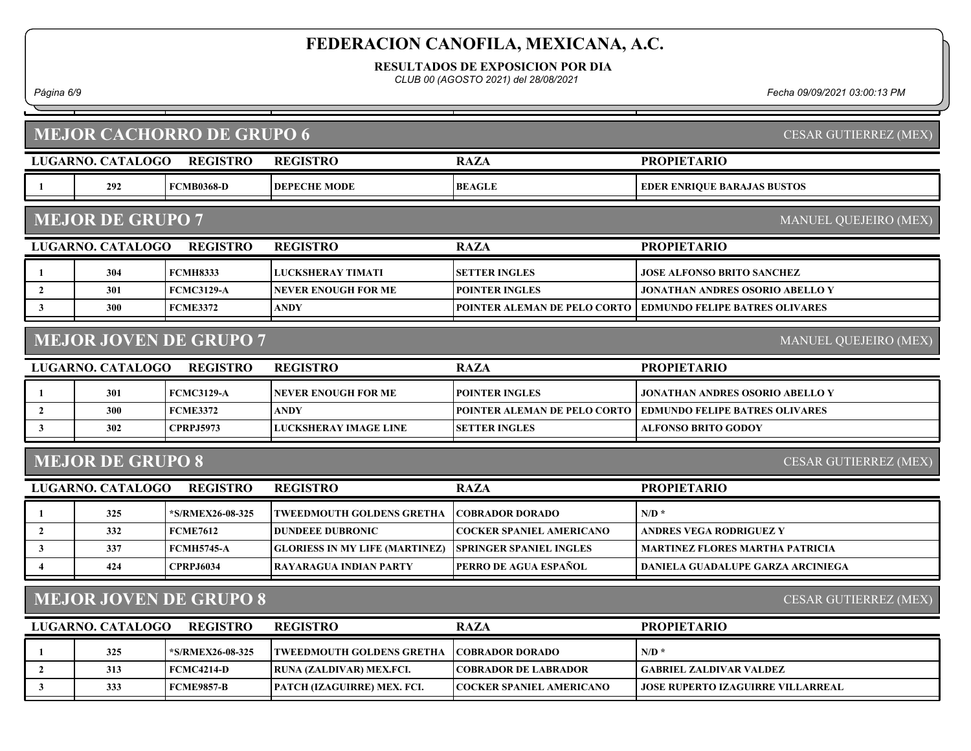RESULTADOS DE EXPOSICION POR DIA

CLUB 00 (AGOSTO 2021) del 28/08/2021

Página 6/9 Fecha 09/09/2021 03:00:13 PM

|                         | <b>MEJOR CACHORRO DE GRUPO 6</b><br>CESAR GUTIERREZ (MEX) |                               |                                       |                                 |                                          |  |  |
|-------------------------|-----------------------------------------------------------|-------------------------------|---------------------------------------|---------------------------------|------------------------------------------|--|--|
|                         | LUGARNO. CATALOGO                                         | <b>REGISTRO</b>               | <b>REGISTRO</b>                       | <b>RAZA</b>                     | <b>PROPIETARIO</b>                       |  |  |
| -1                      | 292                                                       | <b>FCMB0368-D</b>             | <b>DEPECHE MODE</b>                   | <b>BEAGLE</b>                   | <b>EDER ENRIQUE BARAJAS BUSTOS</b>       |  |  |
|                         | <b>MEJOR DE GRUPO 7</b>                                   |                               |                                       |                                 | MANUEL QUEJEIRO (MEX)                    |  |  |
|                         | LUGARNO. CATALOGO                                         | <b>REGISTRO</b>               | <b>REGISTRO</b>                       | <b>RAZA</b>                     | <b>PROPIETARIO</b>                       |  |  |
| 1                       | 304                                                       | <b>FCMH8333</b>               | LUCKSHERAY TIMATI                     | <b>SETTER INGLES</b>            | <b>JOSE ALFONSO BRITO SANCHEZ</b>        |  |  |
| $\overline{2}$          | 301                                                       | <b>FCMC3129-A</b>             | NEVER ENOUGH FOR ME                   | <b>POINTER INGLES</b>           | JONATHAN ANDRES OSORIO ABELLO Y          |  |  |
| $\mathbf{3}$            | 300                                                       | <b>FCME3372</b>               | <b>ANDY</b>                           | POINTER ALEMAN DE PELO CORTO    | <b>EDMUNDO FELIPE BATRES OLIVARES</b>    |  |  |
|                         |                                                           | <b>MEJOR JOVEN DE GRUPO 7</b> |                                       |                                 | MANUEL QUEJEIRO (MEX)                    |  |  |
|                         | LUGARNO. CATALOGO                                         | <b>REGISTRO</b>               | <b>REGISTRO</b>                       | <b>RAZA</b>                     | <b>PROPIETARIO</b>                       |  |  |
| 1                       | 301                                                       | <b>FCMC3129-A</b>             | NEVER ENOUGH FOR ME                   | <b>POINTER INGLES</b>           | JONATHAN ANDRES OSORIO ABELLO Y          |  |  |
| $\overline{2}$          | 300                                                       | <b>FCME3372</b>               | <b>ANDY</b>                           | POINTER ALEMAN DE PELO CORTO    | <b>EDMUNDO FELIPE BATRES OLIVARES</b>    |  |  |
| $\mathbf{3}$            | 302                                                       | <b>CPRPJ5973</b>              | LUCKSHERAY IMAGE LINE                 | <b>SETTER INGLES</b>            | <b>ALFONSO BRITO GODOY</b>               |  |  |
|                         | <b>MEJOR DE GRUPO 8</b>                                   |                               |                                       |                                 | CESAR GUTIERREZ (MEX)                    |  |  |
|                         | LUGARNO. CATALOGO                                         | <b>REGISTRO</b>               | <b>REGISTRO</b>                       | <b>RAZA</b>                     | <b>PROPIETARIO</b>                       |  |  |
| 1                       | 325                                                       | *S/RMEX26-08-325              | TWEEDMOUTH GOLDENS GRETHA             | <b>COBRADOR DORADO</b>          | $N/D$ *                                  |  |  |
| $\overline{2}$          | 332                                                       | <b>FCME7612</b>               | <b>DUNDEEE DUBRONIC</b>               | <b>COCKER SPANIEL AMERICANO</b> | <b>ANDRES VEGA RODRIGUEZ Y</b>           |  |  |
| $\mathbf{3}$            | 337                                                       | <b>FCMH5745-A</b>             | <b>GLORIESS IN MY LIFE (MARTINEZ)</b> | <b>SPRINGER SPANIEL INGLES</b>  | <b>MARTINEZ FLORES MARTHA PATRICIA</b>   |  |  |
| $\overline{\mathbf{4}}$ | 424                                                       | <b>CPRPJ6034</b>              | <b>RAYARAGUA INDIAN PARTY</b>         | PERRO DE AGUA ESPAÑOL           | DANIELA GUADALUPE GARZA ARCINIEGA        |  |  |
|                         | <b>MEJOR JOVEN DE GRUPO 8</b><br>CESAR GUTIERREZ (MEX)    |                               |                                       |                                 |                                          |  |  |
|                         | <b>LUGARNO. CATALOGO</b>                                  | <b>REGISTRO</b>               | <b>REGISTRO</b>                       | <b>RAZA</b>                     | <b>PROPIETARIO</b>                       |  |  |
| 1                       | 325                                                       | *S/RMEX26-08-325              | TWEEDMOUTH GOLDENS GRETHA             | <b>COBRADOR DORADO</b>          | $N/D$ *                                  |  |  |
| $\overline{2}$          | 313                                                       | <b>FCMC4214-D</b>             | RUNA (ZALDIVAR) MEX.FCI.              | <b>COBRADOR DE LABRADOR</b>     | <b>GABRIEL ZALDIVAR VALDEZ</b>           |  |  |
| $\mathbf{3}$            | 333                                                       | <b>FCME9857-B</b>             | PATCH (IZAGUIRRE) MEX. FCI.           | <b>COCKER SPANIEL AMERICANO</b> | <b>JOSE RUPERTO IZAGUIRRE VILLARREAL</b> |  |  |
|                         |                                                           |                               |                                       |                                 |                                          |  |  |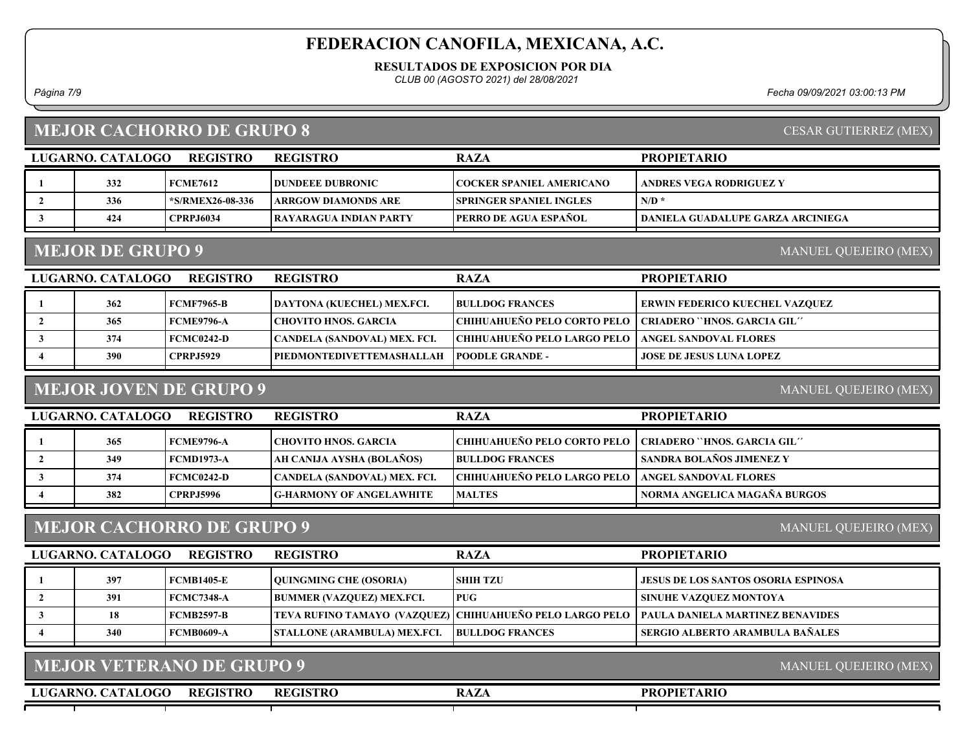RESULTADOS DE EXPOSICION POR DIA

CLUB 00 (AGOSTO 2021) del 28/08/2021

Página 7/9 Fecha 09/09/2021 03:00:13 PM

| <b>MEJOR CACHORRO DE GRUPO 8</b> |  |
|----------------------------------|--|
|                                  |  |

| LUGARNO, CATALOGO | <b>REGISTRO</b>  | <b>REGISTRO</b>          | <b>RAZA</b>                     | <b>PROPIETARIO</b>                |
|-------------------|------------------|--------------------------|---------------------------------|-----------------------------------|
| 332               | <b>FCME7612</b>  | <b>IDUNDEEE DUBRONIC</b> | COCKER SPANIEL AMERICANO_       | ANDRES VEGA RODRIGUEZ Y           |
| 336               | *S/RMEX26-08-336 | ARRGOW DIAMONDS ARE      | <b>ISPRINGER SPANIEL INGLES</b> | $N/D^*$                           |
| 424               | <b>CPRPJ6034</b> | TRAYARAGUA INDIAN PARTY  | <b>TPERRO DE AGUA ESPAÑOL</b>   | DANIELA GUADALUPE GARZA ARCINIEGA |

## MEJOR DE GRUPO 9

MANUEL QUEJEIRO (MEX)

| LUGARNO. CATALOGO | <b>REGISTRO</b>   | <b>REGISTRO</b>              | <b>RAZA</b>                          | <b>PROPIETARIO</b>                    |
|-------------------|-------------------|------------------------------|--------------------------------------|---------------------------------------|
| 362               | <b>FCMF7965-B</b> | DAYTONA (KUECHEL) MEX.FCI.   | <b>BULLDOG FRANCES</b>               | <b>ERWIN FEDERICO KUECHEL VAZQUEZ</b> |
| 365               | <b>FCME9796-A</b> | CHOVITO HNOS. GARCIA         | <b>CHIHUAHUEÑO PELO CORTO PELO  </b> | CRIADERO ``HNOS. GARCIA GIL''         |
| 374               | <b>FCMC0242-D</b> | CANDELA (SANDOVAL) MEX. FCI. | CHIHUAHUEÑO PELO LARGO PELO          | ANGEL SANDOVAL FLORES                 |
| 390               | <b>CPRPJ5929</b>  | PIEDMONTEDIVETTEMASHALLAH    | <b>IPOODLE GRANDE -</b>              | <b>JOSE DE JESUS LUNA LOPEZ</b>       |

# MEJOR JOVEN DE GRUPO 9

MANUEL QUEJEIRO (MEX)

| LUGARNO. CATALOGO | <b>REGISTRO</b>  | <b>REGISTRO</b>                 | <b>RAZA</b>                                                 | <b>PROPIETARIO</b>           |
|-------------------|------------------|---------------------------------|-------------------------------------------------------------|------------------------------|
| 365               | FCME9796-A       | CHOVITO HNOS. GARCIA            | CHIHUAHUEÑO PELO CORTO PELO   CRIADERO ``HNOS. GARCIA GIL'' |                              |
| 349               | FCMD1973-A       | AH CANIJA AYSHA (BOLAÑOS)       | <b>BULLDOG FRANCES</b>                                      | SANDRA BOLAÑOS JIMENEZ Y     |
| 374               | FCMC0242-D       | CANDELA (SANDOVAL) MEX. FCI.    | <b>CHIHUAHUEÑO PELO LARGO PELO  </b>                        | <b>ANGEL SANDOVAL FLORES</b> |
| 382               | <b>CPRPJ5996</b> | <b>G-HARMONY OF ANGELAWHITE</b> | <b>MALTES</b>                                               | NORMA ANGELICA MAGAÑA BURGOS |

## MEJOR CACHORRO DE GRUPO 9

MANUEL QUEJEIRO (MEX)

MANUEL QUEJEIRO (MEX)

| LUGARNO. CATALOGO | <b>REGISTRO</b>   | <b>REGISTRO</b>                     | <b>RAZA</b>            | <b>PROPIETARIO</b>                                                                          |
|-------------------|-------------------|-------------------------------------|------------------------|---------------------------------------------------------------------------------------------|
| 397               | <b>FCMB1405-E</b> | <b>OUINGMING CHE (OSORIA)</b>       | I SHIH TZU             | <b>JESUS DE LOS SANTOS OSORIA ESPINOSA</b>                                                  |
| 391               | <b>FCMC7348-A</b> | <b>BUMMER (VAZQUEZ) MEX.FCI.</b>    | <b>PUG</b>             | <b>SINUHE VAZQUEZ MONTOYA</b>                                                               |
| 18                | FCMB2597-B        |                                     |                        | TEVA RUFINO TAMAYO (VAZQUEZ) CHIHUAHUEÑO PELO LARGO PELO   PAULA DANIELA MARTINEZ BENAVIDES |
| 340               | <b>FCMB0609-A</b> | <b>STALLONE (ARAMBULA) MEX.FCI.</b> | <b>BULLDOG FRANCES</b> | SERGIO ALBERTO ARAMBULA BAÑALES                                                             |
|                   |                   |                                     |                        |                                                                                             |

LUGARNO. CATALOGO REGISTRO RAZA REGISTRO

PROPIETARIO

CESAR GUTIERREZ (MEX)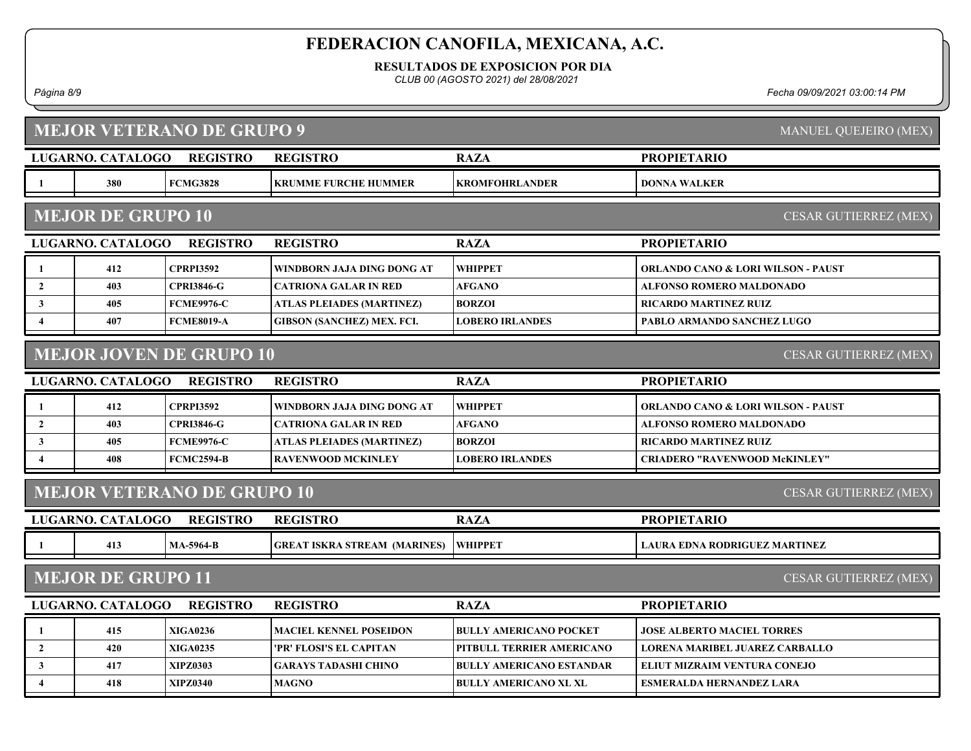RESULTADOS DE EXPOSICION POR DIA

CLUB 00 (AGOSTO 2021) del 28/08/2021

Página 8/9 Fecha 09/09/2021 03:00:14 PM

| <b>MEJOR VETERANO DE GRUPO 9</b><br>MANUEL QUEJEIRO (MEX)  |                          |                   |                                     |                                 |                                               |  |  |  |  |  |
|------------------------------------------------------------|--------------------------|-------------------|-------------------------------------|---------------------------------|-----------------------------------------------|--|--|--|--|--|
|                                                            | LUGARNO. CATALOGO        | <b>REGISTRO</b>   | <b>REGISTRO</b>                     | <b>RAZA</b>                     | <b>PROPIETARIO</b>                            |  |  |  |  |  |
|                                                            | 380                      | <b>FCMG3828</b>   | KRUMME FURCHE HUMMER                | <b>KROMFOHRLANDER</b>           | <b>DONNA WALKER</b>                           |  |  |  |  |  |
| <b>MEJOR DE GRUPO 10</b><br>CESAR GUTIERREZ (MEX)          |                          |                   |                                     |                                 |                                               |  |  |  |  |  |
|                                                            | <b>LUGARNO. CATALOGO</b> | <b>REGISTRO</b>   | <b>REGISTRO</b>                     | <b>RAZA</b>                     | <b>PROPIETARIO</b>                            |  |  |  |  |  |
| 1                                                          | 412                      | <b>CPRPI3592</b>  | WINDBORN JAJA DING DONG AT          | <b>WHIPPET</b>                  | <b>ORLANDO CANO &amp; LORI WILSON - PAUST</b> |  |  |  |  |  |
| $\mathbf{2}$                                               | 403                      | <b>CPRI3846-G</b> | <b>CATRIONA GALAR IN RED</b>        | <b>AFGANO</b>                   | <b>ALFONSO ROMERO MALDONADO</b>               |  |  |  |  |  |
| $\mathbf{3}$                                               | 405                      | <b>FCME9976-C</b> | <b>ATLAS PLEIADES (MARTINEZ)</b>    | <b>BORZOI</b>                   | <b>RICARDO MARTINEZ RUIZ</b>                  |  |  |  |  |  |
| $\overline{4}$                                             | 407                      | <b>FCME8019-A</b> | <b>GIBSON (SANCHEZ) MEX. FCI.</b>   | <b>LOBERO IRLANDES</b>          | <b>PABLO ARMANDO SANCHEZ LUGO</b>             |  |  |  |  |  |
| <b>MEJOR JOVEN DE GRUPO 10</b><br>CESAR GUTIERREZ (MEX)    |                          |                   |                                     |                                 |                                               |  |  |  |  |  |
|                                                            | LUGARNO. CATALOGO        | <b>REGISTRO</b>   | <b>REGISTRO</b>                     | <b>RAZA</b>                     | <b>PROPIETARIO</b>                            |  |  |  |  |  |
| -1                                                         | 412                      | <b>CPRPI3592</b>  | WINDBORN JAJA DING DONG AT          | <b>WHIPPET</b>                  | <b>ORLANDO CANO &amp; LORI WILSON - PAUST</b> |  |  |  |  |  |
| $\overline{2}$                                             | 403                      | <b>CPRI3846-G</b> | CATRIONA GALAR IN RED               | <b>AFGANO</b>                   | <b>ALFONSO ROMERO MALDONADO</b>               |  |  |  |  |  |
| $\mathbf{3}$                                               | 405                      | <b>FCME9976-C</b> | ATLAS PLEIADES (MARTINEZ)           | <b>BORZOI</b>                   | <b>RICARDO MARTINEZ RUIZ</b>                  |  |  |  |  |  |
| $\overline{4}$                                             | 408                      | <b>FCMC2594-B</b> | RAVENWOOD MCKINLEY                  | <b>LOBERO IRLANDES</b>          | <b>CRIADERO "RAVENWOOD McKINLEY"</b>          |  |  |  |  |  |
| <b>MEJOR VETERANO DE GRUPO 10</b><br>CESAR GUTIERREZ (MEX) |                          |                   |                                     |                                 |                                               |  |  |  |  |  |
|                                                            | LUGARNO. CATALOGO        | <b>REGISTRO</b>   | <b>REGISTRO</b>                     | <b>RAZA</b>                     | <b>PROPIETARIO</b>                            |  |  |  |  |  |
| - 1                                                        | 413                      | <b>MA-5964-B</b>  | <b>GREAT ISKRA STREAM (MARINES)</b> | <b>WHIPPET</b>                  | <b>LAURA EDNA RODRIGUEZ MARTINEZ</b>          |  |  |  |  |  |
| <b>MEJOR DE GRUPO 11</b><br>CESAR GUTIERREZ (MEX)          |                          |                   |                                     |                                 |                                               |  |  |  |  |  |
|                                                            | LUGARNO. CATALOGO        | <b>REGISTRO</b>   | <b>PROPIETARIO</b>                  |                                 |                                               |  |  |  |  |  |
| -1                                                         | 415                      | <b>XIGA0236</b>   | MACIEL KENNEL POSEIDON              | <b>BULLY AMERICANO POCKET</b>   | <b>JOSE ALBERTO MACIEL TORRES</b>             |  |  |  |  |  |
| $\overline{2}$                                             | 420                      | <b>XIGA0235</b>   | 'PR' FLOSI'S EL CAPITAN             | PITBULL TERRIER AMERICANO       | <b>LORENA MARIBEL JUAREZ CARBALLO</b>         |  |  |  |  |  |
| $\mathbf{3}$                                               | 417                      | <b>XIPZ0303</b>   | <b>GARAYS TADASHI CHINO</b>         | <b>BULLY AMERICANO ESTANDAR</b> | ELIUT MIZRAIM VENTURA CONEJO                  |  |  |  |  |  |
| $\overline{4}$                                             | 418                      | <b>XIPZ0340</b>   | <b>MAGNO</b>                        | <b>BULLY AMERICANO XL XL</b>    | <b>ESMERALDA HERNANDEZ LARA</b>               |  |  |  |  |  |